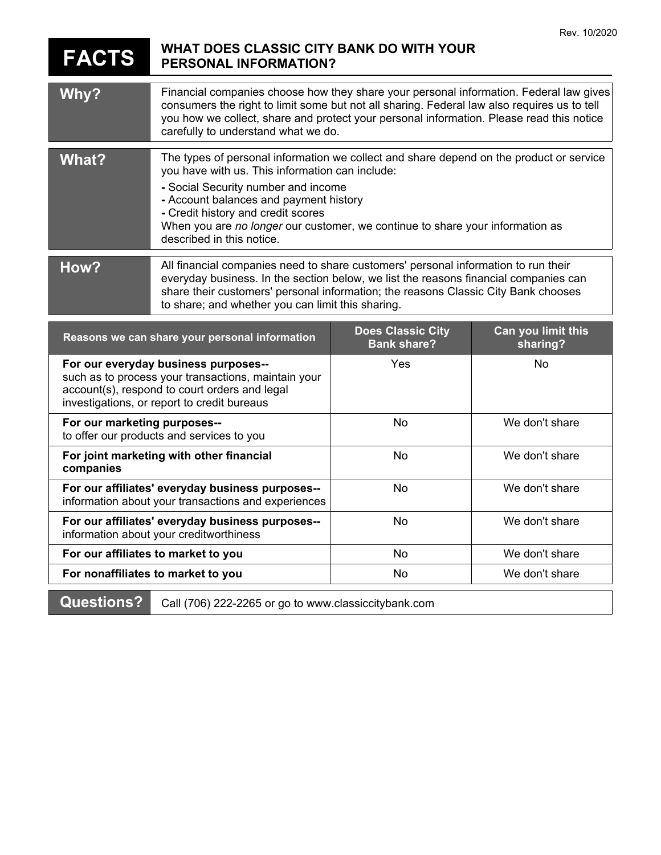## **FACTS WHAT DOES CLASSIC CITY BANK DO WITH YOUR PERSONAL INFORMATION?**

| Why?                                                                                                                                                                                        | Financial companies choose how they share your personal information. Federal law gives<br>consumers the right to limit some but not all sharing. Federal law also requires us to tell<br>you how we collect, share and protect your personal information. Please read this notice<br>carefully to understand what we do.                                                        |                                                |                                |
|---------------------------------------------------------------------------------------------------------------------------------------------------------------------------------------------|---------------------------------------------------------------------------------------------------------------------------------------------------------------------------------------------------------------------------------------------------------------------------------------------------------------------------------------------------------------------------------|------------------------------------------------|--------------------------------|
| <b>What?</b>                                                                                                                                                                                | The types of personal information we collect and share depend on the product or service<br>you have with us. This information can include:<br>- Social Security number and income<br>- Account balances and payment history<br>- Credit history and credit scores<br>When you are no longer our customer, we continue to share your information as<br>described in this notice. |                                                |                                |
| How?                                                                                                                                                                                        | All financial companies need to share customers' personal information to run their<br>everyday business. In the section below, we list the reasons financial companies can<br>share their customers' personal information; the reasons Classic City Bank chooses<br>to share; and whether you can limit this sharing.                                                           |                                                |                                |
| Reasons we can share your personal information                                                                                                                                              |                                                                                                                                                                                                                                                                                                                                                                                 | <b>Does Classic City</b><br><b>Bank share?</b> | Can you limit this<br>sharing? |
| For our everyday business purposes--<br>such as to process your transactions, maintain your<br>account(s), respond to court orders and legal<br>investigations, or report to credit bureaus |                                                                                                                                                                                                                                                                                                                                                                                 | Yes                                            | No                             |
| For our marketing purposes--<br>to offer our products and services to you                                                                                                                   |                                                                                                                                                                                                                                                                                                                                                                                 | No                                             | We don't share                 |
| For joint marketing with other financial<br>companies                                                                                                                                       |                                                                                                                                                                                                                                                                                                                                                                                 | <b>No</b>                                      | We don't share                 |
| For our affiliates' everyday business purposes--<br>information about your transactions and experiences                                                                                     |                                                                                                                                                                                                                                                                                                                                                                                 | No                                             | We don't share                 |
| For our affiliates' everyday business purposes--<br>information about your creditworthiness                                                                                                 |                                                                                                                                                                                                                                                                                                                                                                                 | No                                             | We don't share                 |
| For our affiliates to market to you                                                                                                                                                         |                                                                                                                                                                                                                                                                                                                                                                                 | <b>No</b>                                      | We don't share                 |
| For nonaffiliates to market to you                                                                                                                                                          |                                                                                                                                                                                                                                                                                                                                                                                 | No                                             | We don't share                 |
| <b>Questions?</b>                                                                                                                                                                           | Call (706) 222-2265 or go to www.classiccitybank.com                                                                                                                                                                                                                                                                                                                            |                                                |                                |